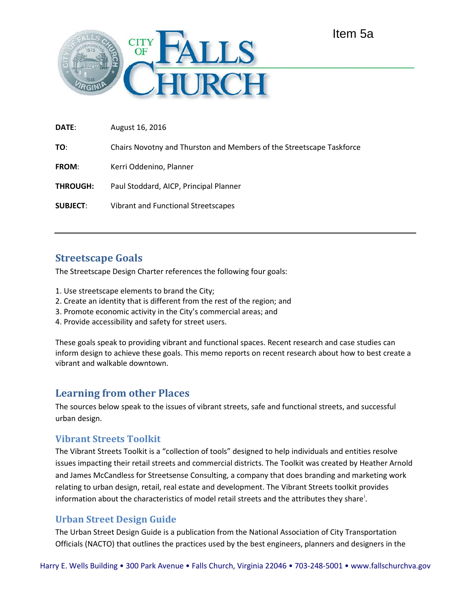

| <b>DATE:</b>    | August 16, 2016                                                      |
|-----------------|----------------------------------------------------------------------|
| TO:             | Chairs Novotny and Thurston and Members of the Streetscape Taskforce |
| <b>FROM:</b>    | Kerri Oddenino, Planner                                              |
| <b>THROUGH:</b> | Paul Stoddard, AICP, Principal Planner                               |
| <b>SUBJECT:</b> | Vibrant and Functional Streetscapes                                  |
|                 |                                                                      |

# **Streetscape Goals**

The Streetscape Design Charter references the following four goals:

- 1. Use streetscape elements to brand the City;
- 2. Create an identity that is different from the rest of the region; and
- 3. Promote economic activity in the City's commercial areas; and
- 4. Provide accessibility and safety for street users.

These goals speak to providing vibrant and functional spaces. Recent research and case studies can inform design to achieve these goals. This memo reports on recent research about how to best create a vibrant and walkable downtown.

# **Learning from other Places**

The sources below speak to the issues of vibrant streets, safe and functional streets, and successful urban design.

## **Vibrant Streets Toolkit**

The Vibrant Streets Toolkit is a "collection of tools" designed to help individuals and entities resolve issues impacting their retail streets and commercial districts. The Toolkit was created by Heather Arnold and James McCandless for Streetsense Consulting, a company that does branding and marketing work relating to urban design, retail, real estate and development. The Vibrant Streets toolkit provides [i](#page-8-0)nformation about the characteristics of model retail streets and the attributes they share<sup>1</sup>.

## **Urban Street Design Guide**

The Urban Street Design Guide is a publication from the National Association of City Transportation Officials (NACTO) that outlines the practices used by the best engineers, planners and designers in the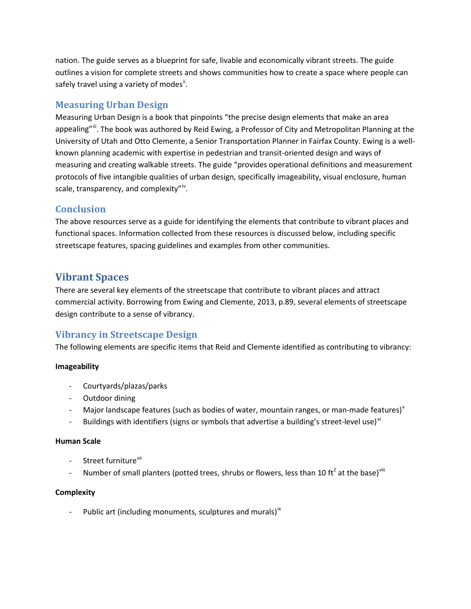nation. The guide serves as a blueprint for safe, livable and economically vibrant streets. The guide outlines a vision for complete streets and shows communities how to create a space where people can safely travel using a variety of modes<sup>[ii](#page-8-1)</sup>.

## **Measuring Urban Design**

Measuring Urban Design is a book that pinpoints "the precise design elements that make an area appealing"<sup>ii</sup>. The book was authored by Reid Ewing, a Professor of City and Metropolitan Planning at the University of Utah and Otto Clemente, a Senior Transportation Planner in Fairfax County. Ewing is a wellknown planning academic with expertise in pedestrian and transit-oriented design and ways of measuring and creating walkable streets. The guide "provides operational definitions and measurement protocols of five intangible qualities of urban design, specifically imageability, visual enclosure, human scale, transparency, and complexity"<sup>[iv](#page-8-3)</sup>.

## **Conclusion**

The above resources serve as a guide for identifying the elements that contribute to vibrant places and functional spaces. Information collected from these resources is discussed below, including specific streetscape features, spacing guidelines and examples from other communities.

# **Vibrant Spaces**

There are several key elements of the streetscape that contribute to vibrant places and attract commercial activity. Borrowing from Ewing and Clemente, 2013, p.89, several elements of streetscape design contribute to a sense of vibrancy.

# **Vibrancy in Streetscape Design**

The following elements are specific items that Reid and Clemente identified as contributing to vibrancy:

### **Imageability**

- Courtyards/plazas/parks
- Outdoor dining
- Major landscape features (such as bodies of water, mountain ranges, or man-made features)<sup>[v](#page-8-4)</sup>
- Buildings with identifiers (signs or symbols that advertise a building's street-level use)<sup>[vi](#page-8-5)</sup>

### **Human Scale**

- Street furniture<sup>[vii](#page-8-6)</sup>
- Number of small planters (potted trees, shrubs or flowers, less than 10 ft<sup>2</sup> at the base)<sup>[viii](#page-8-7)</sup>

## **Complexity**

- Public art (including monuments, sculptures and murals)<sup>[ix](#page-8-8)</sup>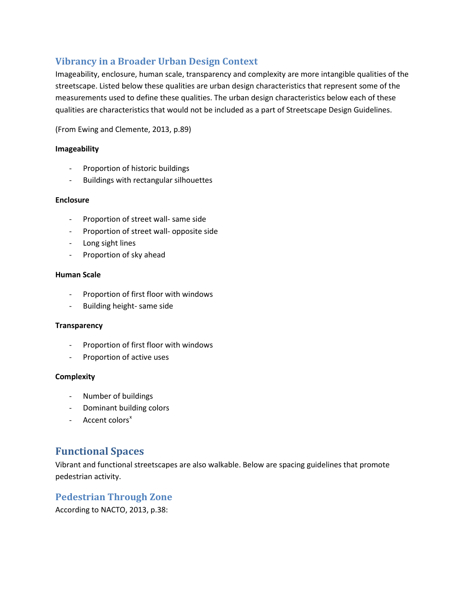# **Vibrancy in a Broader Urban Design Context**

Imageability, enclosure, human scale, transparency and complexity are more intangible qualities of the streetscape. Listed below these qualities are urban design characteristics that represent some of the measurements used to define these qualities. The urban design characteristics below each of these qualities are characteristics that would not be included as a part of Streetscape Design Guidelines.

(From Ewing and Clemente, 2013, p.89)

#### **Imageability**

- Proportion of historic buildings
- Buildings with rectangular silhouettes

#### **Enclosure**

- Proportion of street wall- same side
- Proportion of street wall- opposite side
- Long sight lines
- Proportion of sky ahead

#### **Human Scale**

- Proportion of first floor with windows
- Building height- same side

#### **Transparency**

- Proportion of first floor with windows
- Proportion of active uses

#### **Complexity**

- Number of buildings
- Dominant building colors
- $-$  Accent colors<sup>[x](#page-8-9)</sup>

# **Functional Spaces**

Vibrant and functional streetscapes are also walkable. Below are spacing guidelines that promote pedestrian activity.

## **Pedestrian Through Zone**

According to NACTO, 2013, p.38: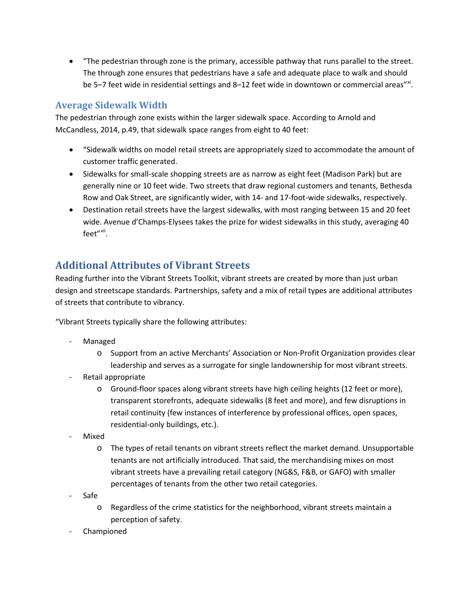• "The pedestrian through zone is the primary, accessible pathway that runs parallel to the street. The through zone ensures that pedestrians have a safe and adequate place to walk and should be 5–7 feet wide in residential settings and 8–12 feet wide in downtown or commercial areas"<sup>[xi](#page-8-10)</sup>.

## **Average Sidewalk Width**

The pedestrian through zone exists within the larger sidewalk space. According to Arnold and McCandless, 2014, p.49, that sidewalk space ranges from eight to 40 feet:

- "Sidewalk widths on model retail streets are appropriately sized to accommodate the amount of customer traffic generated.
- Sidewalks for small-scale shopping streets are as narrow as eight feet (Madison Park) but are generally nine or 10 feet wide. Two streets that draw regional customers and tenants, Bethesda Row and Oak Street, are significantly wider, with 14- and 17-foot-wide sidewalks, respectively.
- Destination retail streets have the largest sidewalks, with most ranging between 15 and 20 feet wide. Avenue d'Champs-Elysees takes the prize for widest sidewalks in this study, averaging 40 feet"<sup>[xii](#page-8-11)</sup>.

# **Additional Attributes of Vibrant Streets**

Reading further into the Vibrant Streets Toolkit, vibrant streets are created by more than just urban design and streetscape standards. Partnerships, safety and a mix of retail types are additional attributes of streets that contribute to vibrancy.

"Vibrant Streets typically share the following attributes:

- **Managed** 
	- o Support from an active Merchants' Association or Non-Profit Organization provides clear leadership and serves as a surrogate for single landownership for most vibrant streets.
- Retail appropriate
	- o Ground-floor spaces along vibrant streets have high ceiling heights (12 feet or more), transparent storefronts, adequate sidewalks (8 feet and more), and few disruptions in retail continuity (few instances of interference by professional offices, open spaces, residential-only buildings, etc.).
- **Mixed** 
	- o The types of retail tenants on vibrant streets reflect the market demand. Unsupportable tenants are not artificially introduced. That said, the merchandising mixes on most vibrant streets have a prevailing retail category (NG&S, F&B, or GAFO) with smaller percentages of tenants from the other two retail categories.
- Safe
	- o Regardless of the crime statistics for the neighborhood, vibrant streets maintain a perception of safety.
- **Championed**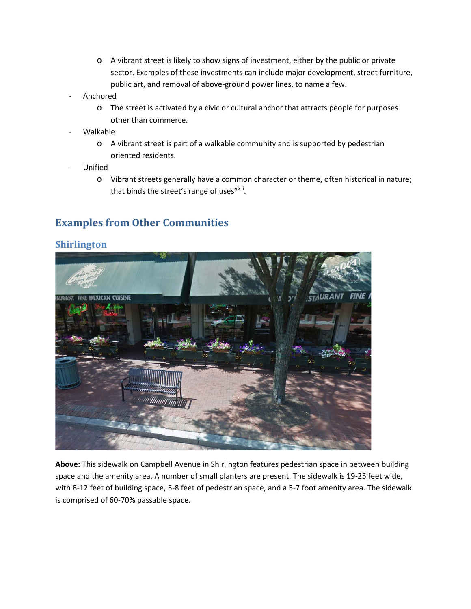- o A vibrant street is likely to show signs of investment, either by the public or private sector. Examples of these investments can include major development, street furniture, public art, and removal of above-ground power lines, to name a few.
- **Anchored** 
	- o The street is activated by a civic or cultural anchor that attracts people for purposes other than commerce.
- Walkable
	- o A vibrant street is part of a walkable community and is supported by pedestrian oriented residents.
- **Unified** 
	- o Vibrant streets generally have a common character or theme, often historical in nature; that binds the street's range of uses"[xiii](#page-8-12).

# **Examples from Other Communities**

### **Shirlington**



**Above:** This sidewalk on Campbell Avenue in Shirlington features pedestrian space in between building space and the amenity area. A number of small planters are present. The sidewalk is 19-25 feet wide, with 8-12 feet of building space, 5-8 feet of pedestrian space, and a 5-7 foot amenity area. The sidewalk is comprised of 60-70% passable space.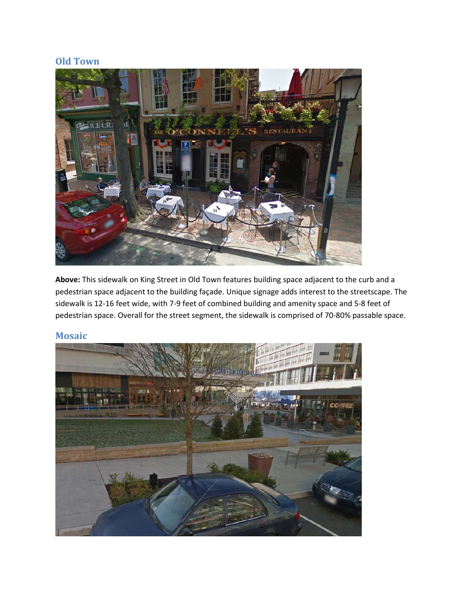## **Old Town**



**Above:** This sidewalk on King Street in Old Town features building space adjacent to the curb and a pedestrian space adjacent to the building façade. Unique signage adds interest to the streetscape. The sidewalk is 12-16 feet wide, with 7-9 feet of combined building and amenity space and 5-8 feet of pedestrian space. Overall for the street segment, the sidewalk is comprised of 70-80% passable space.

### **Mosaic**

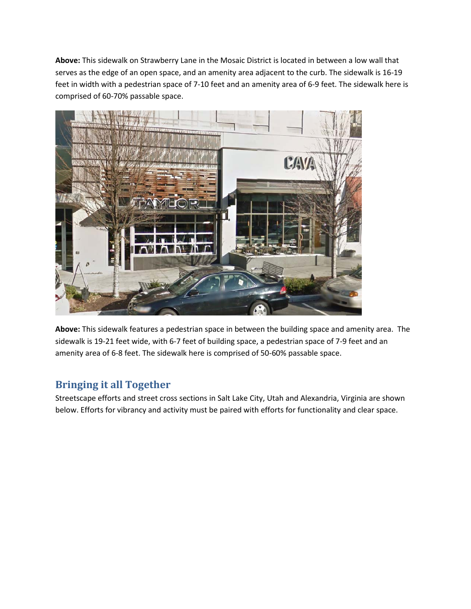**Above:** This sidewalk on Strawberry Lane in the Mosaic District is located in between a low wall that serves as the edge of an open space, and an amenity area adjacent to the curb. The sidewalk is 16-19 feet in width with a pedestrian space of 7-10 feet and an amenity area of 6-9 feet. The sidewalk here is comprised of 60-70% passable space.



**Above:** This sidewalk features a pedestrian space in between the building space and amenity area. The sidewalk is 19-21 feet wide, with 6-7 feet of building space, a pedestrian space of 7-9 feet and an amenity area of 6-8 feet. The sidewalk here is comprised of 50-60% passable space.

# **Bringing it all Together**

Streetscape efforts and street cross sections in Salt Lake City, Utah and Alexandria, Virginia are shown below. Efforts for vibrancy and activity must be paired with efforts for functionality and clear space.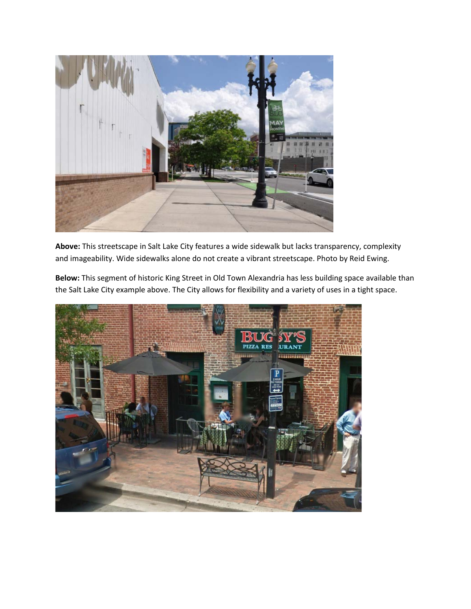

**Above:** This streetscape in Salt Lake City features a wide sidewalk but lacks transparency, complexity and imageability. Wide sidewalks alone do not create a vibrant streetscape. Photo by Reid Ewing.

**Below:** This segment of historic King Street in Old Town Alexandria has less building space available than the Salt Lake City example above. The City allows for flexibility and a variety of uses in a tight space.